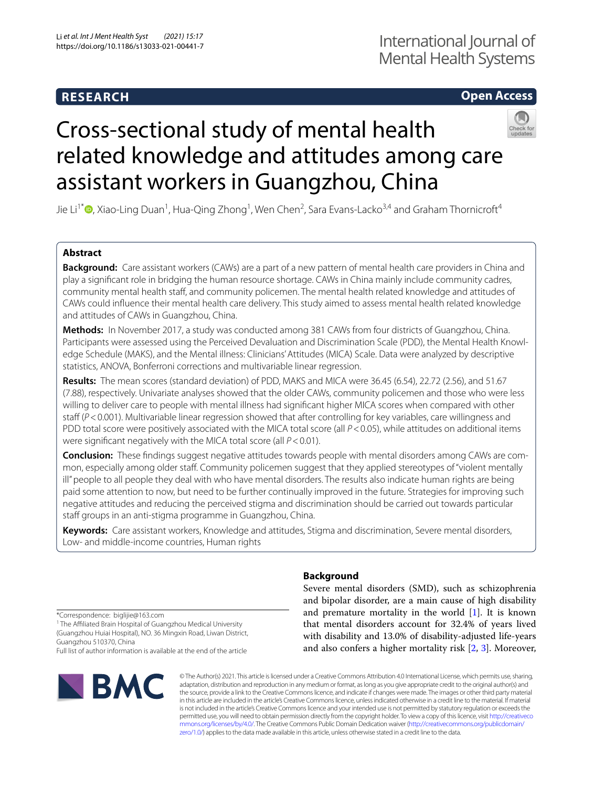# **RESEARCH**

## **Open Access**

# Cross-sectional study of mental health related knowledge and attitudes among care assistant workers in Guangzhou, China



Jie Li<sup>1\*</sup>®[,](http://orcid.org/0000-0001-7156-0687) Xiao-Ling Duan<sup>1</sup>, Hua-Qing Zhong<sup>1</sup>, Wen Chen<sup>2</sup>, Sara Evans-Lacko<sup>3,4</sup> and Graham Thornicroft<sup>4</sup>

## **Abstract**

**Background:** Care assistant workers (CAWs) are a part of a new pattern of mental health care providers in China and play a signifcant role in bridging the human resource shortage. CAWs in China mainly include community cadres, community mental health staf, and community policemen. The mental health related knowledge and attitudes of CAWs could infuence their mental health care delivery. This study aimed to assess mental health related knowledge and attitudes of CAWs in Guangzhou, China.

**Methods:** In November 2017, a study was conducted among 381 CAWs from four districts of Guangzhou, China. Participants were assessed using the Perceived Devaluation and Discrimination Scale (PDD), the Mental Health Knowledge Schedule (MAKS), and the Mental illness: Clinicians' Attitudes (MICA) Scale. Data were analyzed by descriptive statistics, ANOVA, Bonferroni corrections and multivariable linear regression.

**Results:** The mean scores (standard deviation) of PDD, MAKS and MICA were 36.45 (6.54), 22.72 (2.56), and 51.67 (7.88), respectively. Univariate analyses showed that the older CAWs, community policemen and those who were less willing to deliver care to people with mental illness had signifcant higher MICA scores when compared with other staff (*P*<0.001). Multivariable linear regression showed that after controlling for key variables, care willingness and PDD total score were positively associated with the MICA total score (all  $P$  < 0.05), while attitudes on additional items were signifcant negatively with the MICA total score (all *P*<0.01).

**Conclusion:** These findings suggest negative attitudes towards people with mental disorders among CAWs are common, especially among older staff. Community policemen suggest that they applied stereotypes of "violent mentally ill" people to all people they deal with who have mental disorders. The results also indicate human rights are being paid some attention to now, but need to be further continually improved in the future. Strategies for improving such negative attitudes and reducing the perceived stigma and discrimination should be carried out towards particular staff groups in an anti-stigma programme in Guangzhou, China.

**Keywords:** Care assistant workers, Knowledge and attitudes, Stigma and discrimination, Severe mental disorders, Low- and middle-income countries, Human rights

**Background**

Severe mental disorders (SMD), such as schizophrenia and bipolar disorder, are a main cause of high disability and premature mortality in the world [\[1](#page-7-0)]. It is known that mental disorders account for 32.4% of years lived with disability and 13.0% of disability-adjusted life-years and also confers a higher mortality risk [\[2](#page-7-1), [3](#page-7-2)]. Moreover,

\*Correspondence: biglijie@163.com

<sup>1</sup> The Affiliated Brain Hospital of Guangzhou Medical University (Guangzhou Huiai Hospital), NO. 36 Mingxin Road, Liwan District, Guangzhou 510370, China

Full list of author information is available at the end of the article



© The Author(s) 2021. This article is licensed under a Creative Commons Attribution 4.0 International License, which permits use, sharing, adaptation, distribution and reproduction in any medium or format, as long as you give appropriate credit to the original author(s) and the source, provide a link to the Creative Commons licence, and indicate if changes were made. The images or other third party material in this article are included in the article's Creative Commons licence, unless indicated otherwise in a credit line to the material. If material is not included in the article's Creative Commons licence and your intended use is not permitted by statutory regulation or exceeds the permitted use, you will need to obtain permission directly from the copyright holder. To view a copy of this licence, visit [http://creativeco](http://creativecommons.org/licenses/by/4.0/) [mmons.org/licenses/by/4.0/.](http://creativecommons.org/licenses/by/4.0/) The Creative Commons Public Domain Dedication waiver ([http://creativecommons.org/publicdomain/](http://creativecommons.org/publicdomain/zero/1.0/) [zero/1.0/\)](http://creativecommons.org/publicdomain/zero/1.0/) applies to the data made available in this article, unless otherwise stated in a credit line to the data.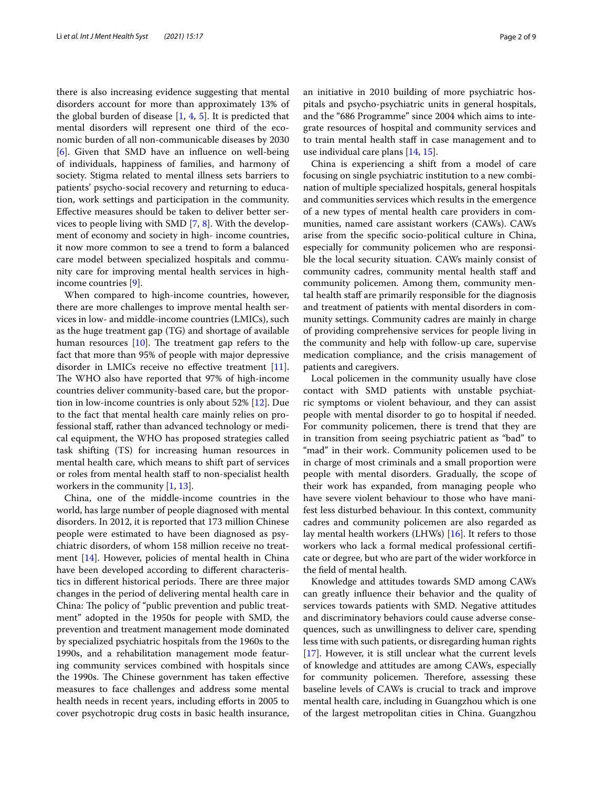there is also increasing evidence suggesting that mental disorders account for more than approximately 13% of the global burden of disease [[1](#page-7-0), [4,](#page-7-3) [5\]](#page-7-4). It is predicted that mental disorders will represent one third of the economic burden of all non-communicable diseases by 2030 [[6\]](#page-7-5). Given that SMD have an infuence on well-being of individuals, happiness of families, and harmony of society. Stigma related to mental illness sets barriers to patients' psycho-social recovery and returning to education, work settings and participation in the community. Efective measures should be taken to deliver better services to people living with SMD [\[7](#page-7-6), [8](#page-7-7)]. With the development of economy and society in high- income countries, it now more common to see a trend to form a balanced care model between specialized hospitals and community care for improving mental health services in highincome countries [[9\]](#page-7-8).

When compared to high-income countries, however, there are more challenges to improve mental health services in low- and middle-income countries (LMICs), such as the huge treatment gap (TG) and shortage of available human resources  $[10]$  $[10]$ . The treatment gap refers to the fact that more than 95% of people with major depressive disorder in LMICs receive no efective treatment [\[11](#page-7-10)]. The WHO also have reported that 97% of high-income countries deliver community-based care, but the proportion in low-income countries is only about 52% [[12\]](#page-7-11). Due to the fact that mental health care mainly relies on professional staf, rather than advanced technology or medical equipment, the WHO has proposed strategies called task shifting (TS) for increasing human resources in mental health care, which means to shift part of services or roles from mental health staf to non-specialist health workers in the community [[1,](#page-7-0) [13](#page-7-12)].

China, one of the middle-income countries in the world, has large number of people diagnosed with mental disorders. In 2012, it is reported that 173 million Chinese people were estimated to have been diagnosed as psychiatric disorders, of whom 158 million receive no treatment [[14\]](#page-7-13). However, policies of mental health in China have been developed according to diferent characteristics in different historical periods. There are three major changes in the period of delivering mental health care in China: The policy of "public prevention and public treatment" adopted in the 1950s for people with SMD, the prevention and treatment management mode dominated by specialized psychiatric hospitals from the 1960s to the 1990s, and a rehabilitation management mode featuring community services combined with hospitals since the 1990s. The Chinese government has taken effective measures to face challenges and address some mental health needs in recent years, including efforts in 2005 to cover psychotropic drug costs in basic health insurance,

an initiative in 2010 building of more psychiatric hospitals and psycho-psychiatric units in general hospitals, and the "686 Programme" since 2004 which aims to integrate resources of hospital and community services and to train mental health staf in case management and to use individual care plans [\[14](#page-7-13), [15\]](#page-7-14).

China is experiencing a shift from a model of care focusing on single psychiatric institution to a new combination of multiple specialized hospitals, general hospitals and communities services which results in the emergence of a new types of mental health care providers in communities, named care assistant workers (CAWs). CAWs arise from the specifc socio-political culture in China, especially for community policemen who are responsible the local security situation. CAWs mainly consist of community cadres, community mental health staff and community policemen. Among them, community mental health staf are primarily responsible for the diagnosis and treatment of patients with mental disorders in community settings. Community cadres are mainly in charge of providing comprehensive services for people living in the community and help with follow-up care, supervise medication compliance, and the crisis management of patients and caregivers.

Local policemen in the community usually have close contact with SMD patients with unstable psychiatric symptoms or violent behaviour, and they can assist people with mental disorder to go to hospital if needed. For community policemen, there is trend that they are in transition from seeing psychiatric patient as "bad" to "mad" in their work. Community policemen used to be in charge of most criminals and a small proportion were people with mental disorders. Gradually, the scope of their work has expanded, from managing people who have severe violent behaviour to those who have manifest less disturbed behaviour. In this context, community cadres and community policemen are also regarded as lay mental health workers (LHWs) [\[16](#page-7-15)]. It refers to those workers who lack a formal medical professional certifcate or degree, but who are part of the wider workforce in the feld of mental health.

Knowledge and attitudes towards SMD among CAWs can greatly infuence their behavior and the quality of services towards patients with SMD. Negative attitudes and discriminatory behaviors could cause adverse consequences, such as unwillingness to deliver care, spending less time with such patients, or disregarding human rights [[17\]](#page-8-0). However, it is still unclear what the current levels of knowledge and attitudes are among CAWs, especially for community policemen. Therefore, assessing these baseline levels of CAWs is crucial to track and improve mental health care, including in Guangzhou which is one of the largest metropolitan cities in China. Guangzhou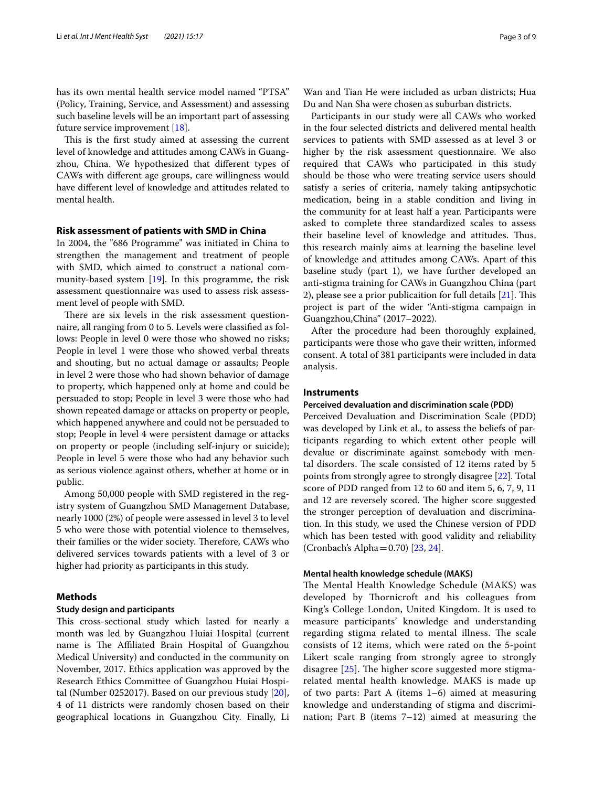has its own mental health service model named "PTSA" (Policy, Training, Service, and Assessment) and assessing such baseline levels will be an important part of assessing future service improvement [[18](#page-8-1)].

This is the first study aimed at assessing the current level of knowledge and attitudes among CAWs in Guangzhou, China. We hypothesized that diferent types of CAWs with diferent age groups, care willingness would have diferent level of knowledge and attitudes related to mental health.

## **Risk assessment of patients with SMD in China**

In 2004, the "686 Programme" was initiated in China to strengthen the management and treatment of people with SMD, which aimed to construct a national community-based system [[19](#page-8-2)]. In this programme, the risk assessment questionnaire was used to assess risk assessment level of people with SMD.

There are six levels in the risk assessment questionnaire, all ranging from 0 to 5. Levels were classifed as follows: People in level 0 were those who showed no risks; People in level 1 were those who showed verbal threats and shouting, but no actual damage or assaults; People in level 2 were those who had shown behavior of damage to property, which happened only at home and could be persuaded to stop; People in level 3 were those who had shown repeated damage or attacks on property or people, which happened anywhere and could not be persuaded to stop; People in level 4 were persistent damage or attacks on property or people (including self-injury or suicide); People in level 5 were those who had any behavior such as serious violence against others, whether at home or in public.

Among 50,000 people with SMD registered in the registry system of Guangzhou SMD Management Database, nearly 1000 (2%) of people were assessed in level 3 to level 5 who were those with potential violence to themselves, their families or the wider society. Therefore, CAWs who delivered services towards patients with a level of 3 or higher had priority as participants in this study.

## **Methods**

## **Study design and participants**

This cross-sectional study which lasted for nearly a month was led by Guangzhou Huiai Hospital (current name is The Affiliated Brain Hospital of Guangzhou Medical University) and conducted in the community on November, 2017. Ethics application was approved by the Research Ethics Committee of Guangzhou Huiai Hospital (Number 0252017). Based on our previous study [\[20](#page-8-3)], 4 of 11 districts were randomly chosen based on their geographical locations in Guangzhou City. Finally, Li

Wan and Tian He were included as urban districts; Hua Du and Nan Sha were chosen as suburban districts.

Participants in our study were all CAWs who worked in the four selected districts and delivered mental health services to patients with SMD assessed as at level 3 or higher by the risk assessment questionnaire. We also required that CAWs who participated in this study should be those who were treating service users should satisfy a series of criteria, namely taking antipsychotic medication, being in a stable condition and living in the community for at least half a year. Participants were asked to complete three standardized scales to assess their baseline level of knowledge and attitudes. Thus, this research mainly aims at learning the baseline level of knowledge and attitudes among CAWs. Apart of this baseline study (part 1), we have further developed an anti-stigma training for CAWs in Guangzhou China (part 2), please see a prior publicaition for full details  $[21]$  $[21]$  $[21]$ . This project is part of the wider "Anti-stigma campaign in Guangzhou,China" (2017–2022).

After the procedure had been thoroughly explained, participants were those who gave their written, informed consent. A total of 381 participants were included in data analysis.

## **Instruments**

## **Perceived devaluation and discrimination scale (PDD)**

Perceived Devaluation and Discrimination Scale (PDD) was developed by Link et al., to assess the beliefs of participants regarding to which extent other people will devalue or discriminate against somebody with mental disorders. The scale consisted of 12 items rated by 5 points from strongly agree to strongly disagree [\[22\]](#page-8-5). Total score of PDD ranged from 12 to 60 and item 5, 6, 7, 9, 11 and 12 are reversely scored. The higher score suggested the stronger perception of devaluation and discrimination. In this study, we used the Chinese version of PDD which has been tested with good validity and reliability (Cronbach's Alpha=0.70) [[23,](#page-8-6) [24](#page-8-7)].

## **Mental health knowledge schedule (MAKS)**

The Mental Health Knowledge Schedule (MAKS) was developed by Thornicroft and his colleagues from King's College London, United Kingdom. It is used to measure participants' knowledge and understanding regarding stigma related to mental illness. The scale consists of 12 items, which were rated on the 5-point Likert scale ranging from strongly agree to strongly disagree  $[25]$  $[25]$ . The higher score suggested more stigmarelated mental health knowledge. MAKS is made up of two parts: Part A (items 1–6) aimed at measuring knowledge and understanding of stigma and discrimination; Part B (items 7–12) aimed at measuring the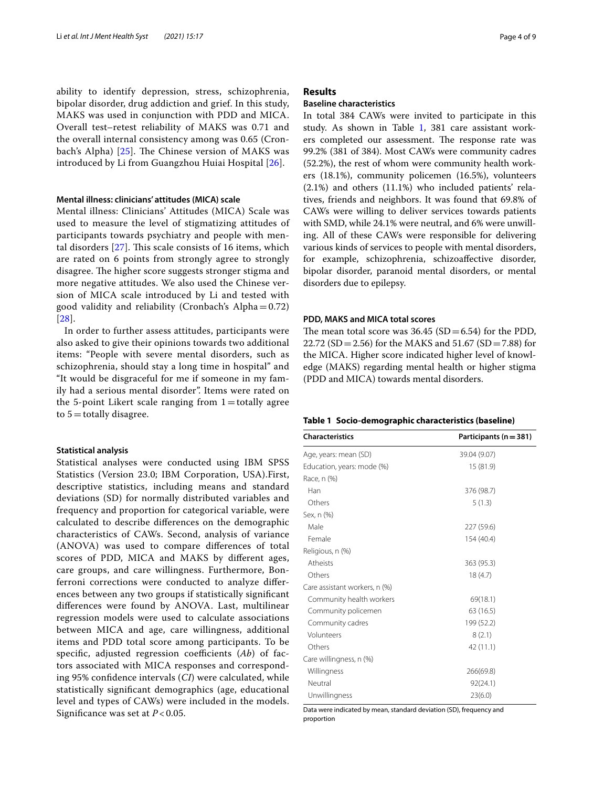ability to identify depression, stress, schizophrenia, bipolar disorder, drug addiction and grief. In this study, MAKS was used in conjunction with PDD and MICA. Overall test–retest reliability of MAKS was 0.71 and the overall internal consistency among was 0.65 (Cronbach's Alpha)  $[25]$  $[25]$ . The Chinese version of MAKS was introduced by Li from Guangzhou Huiai Hospital [\[26](#page-8-9)].

## **Mental illness: clinicians' attitudes (MICA) scale**

Mental illness: Clinicians' Attitudes (MICA) Scale was used to measure the level of stigmatizing attitudes of participants towards psychiatry and people with mental disorders  $[27]$  $[27]$ . This scale consists of 16 items, which are rated on 6 points from strongly agree to strongly disagree. The higher score suggests stronger stigma and more negative attitudes. We also used the Chinese version of MICA scale introduced by Li and tested with good validity and reliability (Cronbach's Alpha $=0.72$ ) [[28](#page-8-11)].

In order to further assess attitudes, participants were also asked to give their opinions towards two additional items: "People with severe mental disorders, such as schizophrenia, should stay a long time in hospital" and "It would be disgraceful for me if someone in my family had a serious mental disorder". Items were rated on the 5-point Likert scale ranging from  $1=$  totally agree to  $5 =$  totally disagree.

## **Statistical analysis**

Statistical analyses were conducted using IBM SPSS Statistics (Version 23.0; IBM Corporation, USA).First, descriptive statistics, including means and standard deviations (SD) for normally distributed variables and frequency and proportion for categorical variable, were calculated to describe diferences on the demographic characteristics of CAWs. Second, analysis of variance (ANOVA) was used to compare diferences of total scores of PDD, MICA and MAKS by diferent ages, care groups, and care willingness. Furthermore, Bonferroni corrections were conducted to analyze diferences between any two groups if statistically signifcant diferences were found by ANOVA. Last, multilinear regression models were used to calculate associations between MICA and age, care willingness, additional items and PDD total score among participants. To be specific, adjusted regression coefficients (Ab) of factors associated with MICA responses and corresponding 95% confdence intervals (*CI*) were calculated, while statistically signifcant demographics (age, educational level and types of CAWs) were included in the models. Signifcance was set at *P* < 0.05.

## **Results**

## **Baseline characteristics**

In total 384 CAWs were invited to participate in this study. As shown in Table [1,](#page-3-0) 381 care assistant workers completed our assessment. The response rate was 99.2% (381 of 384). Most CAWs were community cadres (52.2%), the rest of whom were community health workers (18.1%), community policemen (16.5%), volunteers (2.1%) and others (11.1%) who included patients' relatives, friends and neighbors. It was found that 69.8% of CAWs were willing to deliver services towards patients with SMD, while 24.1% were neutral, and 6% were unwilling. All of these CAWs were responsible for delivering various kinds of services to people with mental disorders, for example, schizophrenia, schizoafective disorder, bipolar disorder, paranoid mental disorders, or mental disorders due to epilepsy.

## **PDD, MAKS and MICA total scores**

The mean total score was  $36.45$  (SD = 6.54) for the PDD, 22.72 (SD = 2.56) for the MAKS and  $51.67$  (SD = 7.88) for the MICA. Higher score indicated higher level of knowledge (MAKS) regarding mental health or higher stigma (PDD and MICA) towards mental disorders.

## <span id="page-3-0"></span>**Table 1 Socio-demographic characteristics (baseline)**

| <b>Characteristics</b>        | Participants ( $n = 381$ ) |  |  |
|-------------------------------|----------------------------|--|--|
| Age, years: mean (SD)         | 39.04 (9.07)               |  |  |
| Education, years: mode (%)    | 15 (81.9)                  |  |  |
| Race, n (%)                   |                            |  |  |
| Han                           | 376 (98.7)                 |  |  |
| Others                        | 5(1.3)                     |  |  |
| Sex, n (%)                    |                            |  |  |
| Male                          | 227 (59.6)                 |  |  |
| Female                        | 154 (40.4)                 |  |  |
| Religious, n (%)              |                            |  |  |
| Atheists                      | 363 (95.3)                 |  |  |
| Others                        | 18(4.7)                    |  |  |
| Care assistant workers, n (%) |                            |  |  |
| Community health workers      | 69(18.1)                   |  |  |
| Community policemen           | 63 (16.5)                  |  |  |
| Community cadres              | 199 (52.2)                 |  |  |
| Volunteers                    | 8(2.1)                     |  |  |
| Others                        | 42 (11.1)                  |  |  |
| Care willingness, n (%)       |                            |  |  |
| Willingness                   | 266(69.8)                  |  |  |
| Neutral                       | 92(24.1)                   |  |  |
| Unwillingness                 | 23(6.0)                    |  |  |

Data were indicated by mean, standard deviation (SD), frequency and proportion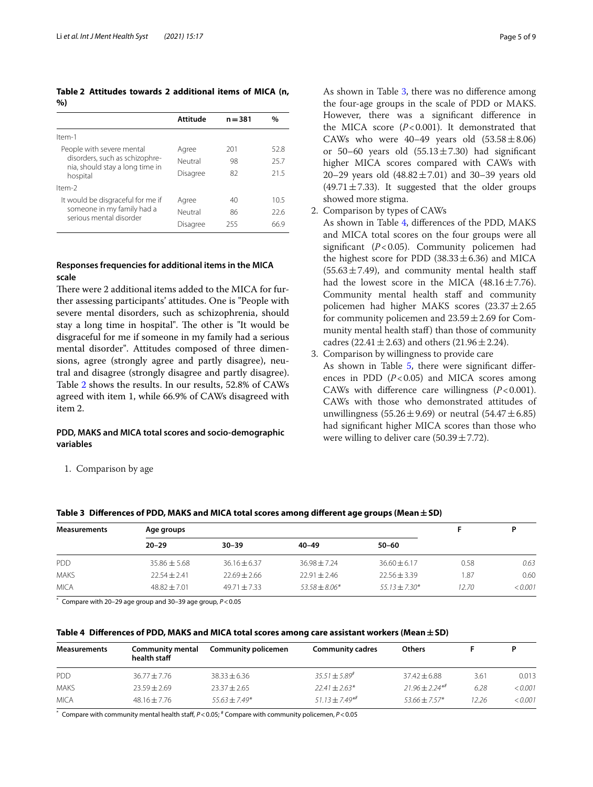<span id="page-4-0"></span>**Table 2 Attitudes towards 2 additional items of MICA (n, %)**

|                                                                               | Attitude | $n = 381$ | %    |
|-------------------------------------------------------------------------------|----------|-----------|------|
| Item-1                                                                        |          |           |      |
| People with severe mental                                                     | Agree    | 201       | 52.8 |
| disorders, such as schizophre-<br>nia, should stay a long time in<br>hospital | Neutral  | 98        | 25.7 |
|                                                                               | Disagree | 82        | 215  |
| $Item-2$                                                                      |          |           |      |
| It would be disgraceful for me if                                             | Agree    | 40        | 10.5 |
| someone in my family had a<br>serious mental disorder                         | Neutral  | 86        | 226  |
|                                                                               | Disagree | 255       | 66 9 |

## **Responses frequencies for additional items in the MICA scale**

There were 2 additional items added to the MICA for further assessing participants' attitudes. One is "People with severe mental disorders, such as schizophrenia, should stay a long time in hospital". The other is "It would be disgraceful for me if someone in my family had a serious mental disorder". Attitudes composed of three dimensions, agree (strongly agree and partly disagree), neutral and disagree (strongly disagree and partly disagree). Table [2](#page-4-0) shows the results. In our results, 52.8% of CAWs agreed with item 1, while 66.9% of CAWs disagreed with item 2.

## **PDD, MAKS and MICA total scores and socio‑demographic variables**

As shown in Table [3](#page-4-1), there was no diference among the four-age groups in the scale of PDD or MAKS. However, there was a signifcant diference in the MICA score (*P*<0.001). It demonstrated that CAWs who were  $40-49$  years old  $(53.58 \pm 8.06)$ or 50–60 years old  $(55.13 \pm 7.30)$  had significant higher MICA scores compared with CAWs with 20–29 years old  $(48.82 \pm 7.01)$  and 30–39 years old  $(49.71 \pm 7.33)$ . It suggested that the older groups showed more stigma.

2. Comparison by types of CAWs

As shown in Table [4](#page-4-2), diferences of the PDD, MAKS and MICA total scores on the four groups were all signifcant (*P*<0.05). Community policemen had the highest score for PDD  $(38.33 \pm 6.36)$  and MICA  $(55.63 \pm 7.49)$ , and community mental health staff had the lowest score in the MICA  $(48.16 \pm 7.76)$ . Community mental health staff and community policemen had higher MAKS scores  $(23.37 \pm 2.65)$ for community policemen and  $23.59 \pm 2.69$  for Community mental health staff) than those of community cadres (22.41 $\pm$ 2.63) and others (21.96 $\pm$ 2.24).

3. Comparison by willingness to provide care As shown in Table [5](#page-5-0), there were significant differences in PDD (*P*<0.05) and MICA scores among CAWs with diference care willingness (*P*<0.001). CAWs with those who demonstrated attitudes of unwillingness (55.26 $\pm$ 9.69) or neutral (54.47 $\pm$ 6.85) had signifcant higher MICA scores than those who were willing to deliver care  $(50.39 \pm 7.72)$ .

|  | 1. Comparison by age |  |  |
|--|----------------------|--|--|
|--|----------------------|--|--|

| Table 3 Differences of PDD, MANS and MICA total scores among different age groups (Mean $\pm$ 5D) |                |                  |                 |                 |       |         |  |
|---------------------------------------------------------------------------------------------------|----------------|------------------|-----------------|-----------------|-------|---------|--|
| <b>Measurements</b>                                                                               | Age groups     |                  | D               |                 |       |         |  |
|                                                                                                   | $20 - 29$      | $30 - 39$        | $40 - 49$       | 50–60           |       |         |  |
| <b>PDD</b>                                                                                        | $35.86 + 5.68$ | $36.16 + 6.37$   | $36.98 + 7.24$  | $36.60 + 6.17$  | 0.58  | 0.63    |  |
| <b>MAKS</b>                                                                                       | $22.54 + 2.41$ | $22.69 + 2.66$   | $22.91 + 2.46$  | $22.56 + 3.39$  | 1.87  | 0.60    |  |
| <b>MICA</b>                                                                                       | $48.82 + 7.01$ | $49.71 \pm 7.33$ | $53.58 + 8.06*$ | $55.13 + 7.30*$ | 12.70 | < 0.001 |  |

## <span id="page-4-1"></span>**Table 3 Diferences of PDD, MAKS and MICA total scores among diferent age groups (Mean±SD)**

\* Compare with 20–29 age group and 30–39 age group, *P*<0.05

<span id="page-4-2"></span>

|  |  |  | Table 4 Differences of PDD, MAKS and MICA total scores among care assistant workers (Mean $\pm$ SD) |  |
|--|--|--|-----------------------------------------------------------------------------------------------------|--|
|--|--|--|-----------------------------------------------------------------------------------------------------|--|

| <b>Measurements</b> | <b>Community mental</b><br>health staff | <b>Community policemen</b> | <b>Community cadres</b> | <b>Others</b>       |       |         |
|---------------------|-----------------------------------------|----------------------------|-------------------------|---------------------|-------|---------|
| <b>PDD</b>          | $36.77 \pm 7.76$                        | $38.33 \pm 6.36$           | $35.51 \pm 5.89^{\#}$   | $37.42 \pm 6.88$    | 3.61  | 0.013   |
| <b>MAKS</b>         | $23.59 + 2.69$                          | $23.37 \pm 2.65$           | $22.41 \pm 2.63*$       | $21.96 \pm 2.24$ ** | 6.28  | < 0.001 |
| <b>MICA</b>         | $48.16 + 7.76$                          | $55.63 + 7.49*$            | $51.13 + 7.49**$        | $53.66 + 7.57*$     | 12.26 | < 0.001 |

\* Compare with community mental health staf, *P*<0.05; # Compare with community policemen, *P*<0.05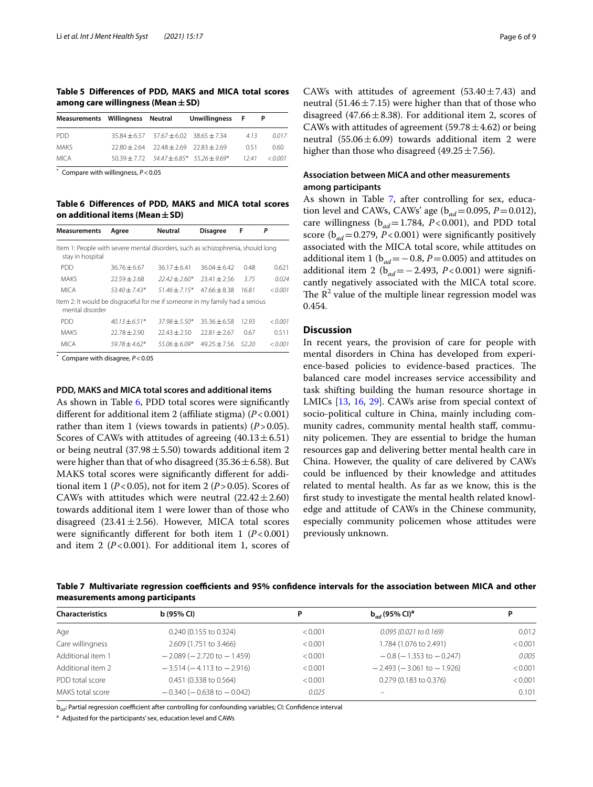<span id="page-5-0"></span>**Table 5 Diferences of PDD, MAKS and MICA total scores among care willingness (Mean±SD)**

| Measurements Willingness Neutral |                                              | Unwillingness F                                |      |         |
|----------------------------------|----------------------------------------------|------------------------------------------------|------|---------|
| <b>PDD</b>                       | $35.84 + 6.57$ $37.67 + 6.02$ $38.65 + 7.34$ |                                                | 413  | 0017    |
| <b>MAKS</b>                      | $72.80 + 2.64$ $72.48 + 2.69$ $72.83 + 2.69$ |                                                | O 51 | 0.60    |
| <b>MICA</b>                      |                                              | $50.39 + 7.72$ $54.47 + 6.85*$ $55.26 + 9.69*$ | 1241 | < 0.001 |

\* Compare with willingness, *P*<0.05

<span id="page-5-1"></span>**Table 6 Diferences of PDD, MAKS and MICA total scores on additional items (Mean±SD)**

| <b>Measurements</b>                                                                                 | Aaree           | <b>Neutral</b>  | <b>Disagree</b> | F     | Р       |
|-----------------------------------------------------------------------------------------------------|-----------------|-----------------|-----------------|-------|---------|
| Item 1: People with severe mental disorders, such as schizophrenia, should long<br>stay in hospital |                 |                 |                 |       |         |
| <b>PDD</b>                                                                                          | $36.76 + 6.67$  | $36.17 + 6.41$  | $36.04 + 6.42$  | 0.48  | 0.621   |
| <b>MAKS</b>                                                                                         | $72.59 + 2.68$  | $72.42 + 2.60*$ | $23.41 + 2.56$  | 3.75  | 0.024   |
| <b>MICA</b>                                                                                         | $53.40 + 7.43*$ | $51.46 + 7.15*$ | $4766 + 838$    | 1681  | < 0.001 |
| Item 2: It would be disgraceful for me if someone in my family had a serious<br>mental disorder     |                 |                 |                 |       |         |
| <b>PDD</b>                                                                                          | $40.13 + 6.51*$ | $37.98 + 5.50*$ | $35.36 + 6.58$  | 1293  | < 0.001 |
| <b>MAKS</b>                                                                                         | $72.78 + 2.90$  | $22.43 + 2.50$  | $72.81 + 2.67$  | 0.67  | 0.511   |
| <b>MICA</b>                                                                                         | $59.78 + 4.62*$ | $55.06 + 6.09*$ | $4925 + 756$    | 52.20 | < 0.001 |

\* Compare with disagree, *P*<0.05

### **PDD, MAKS and MICA total scores and additional items**

As shown in Table [6](#page-5-1), PDD total scores were signifcantly diferent for additional item 2 (afliate stigma) (*P*<0.001) rather than item 1 (views towards in patients)  $(P > 0.05)$ . Scores of CAWs with attitudes of agreeing  $(40.13 \pm 6.51)$ or being neutral (37.98 $\pm$ 5.50) towards additional item 2 were higher than that of who disagreed (35.36 $\pm$ 6.58). But MAKS total scores were signifcantly diferent for additional item 1 ( $P < 0.05$ ), not for item 2 ( $P > 0.05$ ). Scores of CAWs with attitudes which were neutral  $(22.42 \pm 2.60)$ towards additional item 1 were lower than of those who disagreed  $(23.41 \pm 2.56)$ . However, MICA total scores were significantly different for both item  $1 (P<0.001)$ and item 2 (*P*<0.001). For additional item 1, scores of CAWs with attitudes of agreement  $(53.40 \pm 7.43)$  and neutral (51.46 $\pm$ 7.15) were higher than that of those who disagreed (47.66 $\pm$ 8.38). For additional item 2, scores of CAWs with attitudes of agreement (59.78 $\pm$ 4.62) or being neutral  $(55.06 \pm 6.09)$  towards additional item 2 were higher than those who disagreed (49.25 $\pm$ 7.56).

## **Association between MICA and other measurements among participants**

As shown in Table [7](#page-5-2), after controlling for sex, education level and CAWs, CAWs' age ( $b_{ad} = 0.095$ ,  $P = 0.012$ ), care willingness (b*ad*=1.784, *P*<0.001), and PDD total score ( $b_{ad}$ =0.279, *P*<0.001) were significantly positively associated with the MICA total score, while attitudes on additional item 1 (b*ad*=−0.8, *P*=0.005) and attitudes on additional item 2 (b*ad*=−2.493, *P*<0.001) were signifcantly negatively associated with the MICA total score. The  $\mathbb{R}^2$  value of the multiple linear regression model was 0.454.

## **Discussion**

In recent years, the provision of care for people with mental disorders in China has developed from experience-based policies to evidence-based practices. The balanced care model increases service accessibility and task shifting building the human resource shortage in LMICs [[13,](#page-7-12) [16](#page-7-15), [29\]](#page-8-12). CAWs arise from special context of socio-political culture in China, mainly including community cadres, community mental health staf, community policemen. They are essential to bridge the human resources gap and delivering better mental health care in China. However, the quality of care delivered by CAWs could be infuenced by their knowledge and attitudes related to mental health. As far as we know, this is the frst study to investigate the mental health related knowledge and attitude of CAWs in the Chinese community, especially community policemen whose attitudes were previously unknown.

<span id="page-5-2"></span>Table 7 Multivariate regression coefficients and 95% confidence intervals for the association between MICA and other **measurements among participants**

| <b>Characteristics</b> | b(95% CI)                         | Ρ       | $b_{ad}$ (95% CI) <sup>a</sup>    | D       |
|------------------------|-----------------------------------|---------|-----------------------------------|---------|
| Age                    | 0.240 (0.155 to 0.324)            | < 0.001 | $0.095(0.021$ to $0.169)$         | 0.012   |
| Care willingness       | 2.609 (1.751 to 3.466)            | < 0.001 | 1.784 (1.076 to 2.491)            | < 0.001 |
| Additional item 1      | $-2.089$ ( $-2.720$ to $-1.459$ ) | < 0.001 | $-0.8$ ( $-1.353$ to $-0.247$ )   | 0.005   |
| Additional item 2      | $-3.514(-4.113$ to $-2.916$ )     | < 0.001 | $-2.493$ ( $-3.061$ to $-1.926$ ) | < 0.001 |
| PDD total score        | 0.451 (0.338 to 0.564)            | < 0.001 | 0.279 (0.183 to 0.376)            | < 0.001 |
| MAKS total score       | $-0.340$ ( $-0.638$ to $-0.042$ ) | 0.025   | $\overline{\phantom{0}}$          | 0.101   |

b<sub>ad</sub>: Partial regression coefficient after controlling for confounding variables; CI: Confidence interval

<sup>a</sup> Adjusted for the participants' sex, education level and CAWs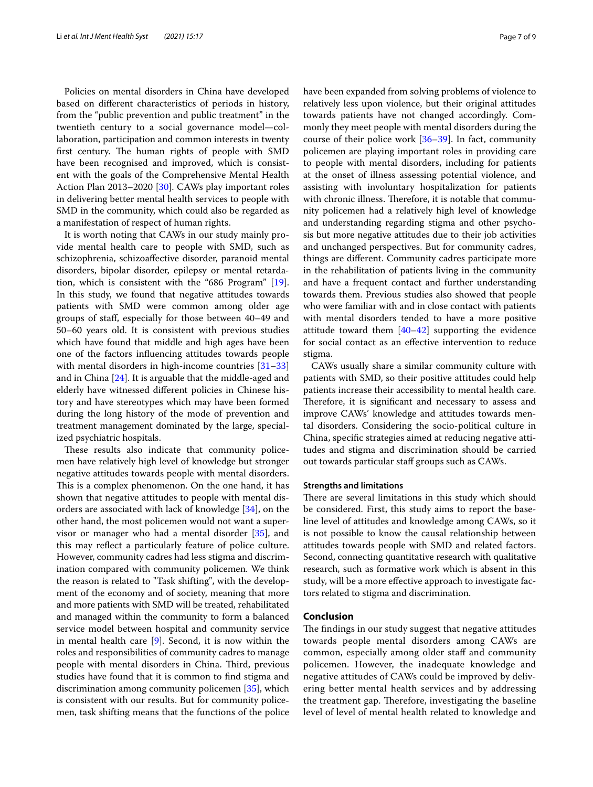Policies on mental disorders in China have developed based on diferent characteristics of periods in history, from the "public prevention and public treatment" in the twentieth century to a social governance model—collaboration, participation and common interests in twenty first century. The human rights of people with SMD have been recognised and improved, which is consistent with the goals of the Comprehensive Mental Health Action Plan 2013–2020 [[30](#page-8-13)]. CAWs play important roles in delivering better mental health services to people with SMD in the community, which could also be regarded as a manifestation of respect of human rights.

It is worth noting that CAWs in our study mainly provide mental health care to people with SMD, such as schizophrenia, schizoafective disorder, paranoid mental disorders, bipolar disorder, epilepsy or mental retardation, which is consistent with the "686 Program" [\[19](#page-8-2)]. In this study, we found that negative attitudes towards patients with SMD were common among older age groups of staf, especially for those between 40–49 and 50–60 years old. It is consistent with previous studies which have found that middle and high ages have been one of the factors infuencing attitudes towards people with mental disorders in high-income countries [[31–](#page-8-14)[33](#page-8-15)] and in China [\[24\]](#page-8-7). It is arguable that the middle-aged and elderly have witnessed diferent policies in Chinese history and have stereotypes which may have been formed during the long history of the mode of prevention and treatment management dominated by the large, specialized psychiatric hospitals.

These results also indicate that community policemen have relatively high level of knowledge but stronger negative attitudes towards people with mental disorders. This is a complex phenomenon. On the one hand, it has shown that negative attitudes to people with mental disorders are associated with lack of knowledge [\[34](#page-8-16)], on the other hand, the most policemen would not want a supervisor or manager who had a mental disorder [\[35\]](#page-8-17), and this may refect a particularly feature of police culture. However, community cadres had less stigma and discrimination compared with community policemen. We think the reason is related to "Task shifting", with the development of the economy and of society, meaning that more and more patients with SMD will be treated, rehabilitated and managed within the community to form a balanced service model between hospital and community service in mental health care [[9\]](#page-7-8). Second, it is now within the roles and responsibilities of community cadres to manage people with mental disorders in China. Third, previous studies have found that it is common to fnd stigma and discrimination among community policemen [[35\]](#page-8-17), which is consistent with our results. But for community policemen, task shifting means that the functions of the police have been expanded from solving problems of violence to relatively less upon violence, but their original attitudes towards patients have not changed accordingly. Commonly they meet people with mental disorders during the course of their police work  $[36-39]$  $[36-39]$ . In fact, community policemen are playing important roles in providing care to people with mental disorders, including for patients at the onset of illness assessing potential violence, and assisting with involuntary hospitalization for patients with chronic illness. Therefore, it is notable that community policemen had a relatively high level of knowledge and understanding regarding stigma and other psychosis but more negative attitudes due to their job activities and unchanged perspectives. But for community cadres, things are diferent. Community cadres participate more in the rehabilitation of patients living in the community and have a frequent contact and further understanding towards them. Previous studies also showed that people who were familiar with and in close contact with patients with mental disorders tended to have a more positive attitude toward them [[40–](#page-8-20)[42](#page-8-21)] supporting the evidence for social contact as an efective intervention to reduce stigma.

CAWs usually share a similar community culture with patients with SMD, so their positive attitudes could help patients increase their accessibility to mental health care. Therefore, it is significant and necessary to assess and improve CAWs' knowledge and attitudes towards mental disorders. Considering the socio-political culture in China, specifc strategies aimed at reducing negative attitudes and stigma and discrimination should be carried out towards particular staf groups such as CAWs.

## **Strengths and limitations**

There are several limitations in this study which should be considered. First, this study aims to report the baseline level of attitudes and knowledge among CAWs, so it is not possible to know the causal relationship between attitudes towards people with SMD and related factors. Second, connecting quantitative research with qualitative research, such as formative work which is absent in this study, will be a more efective approach to investigate factors related to stigma and discrimination.

## **Conclusion**

The findings in our study suggest that negative attitudes towards people mental disorders among CAWs are common, especially among older staff and community policemen. However, the inadequate knowledge and negative attitudes of CAWs could be improved by delivering better mental health services and by addressing the treatment gap. Therefore, investigating the baseline level of level of mental health related to knowledge and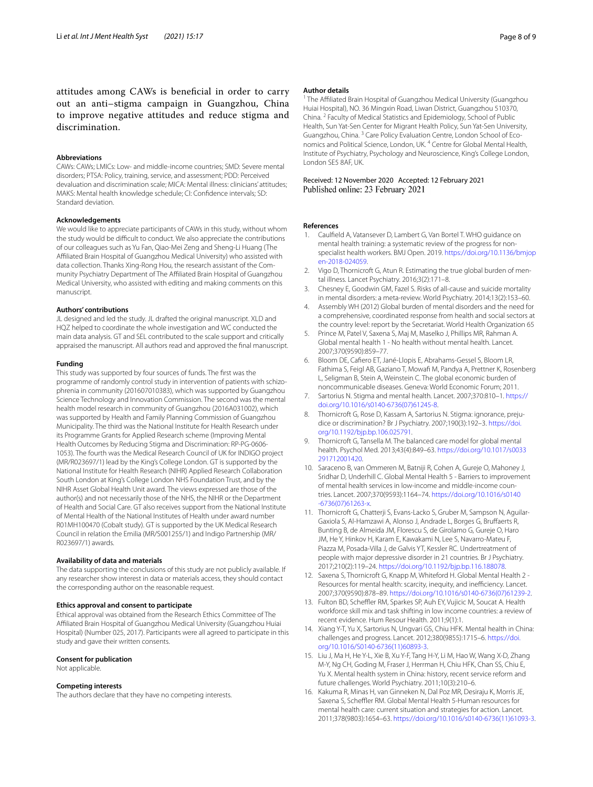attitudes among CAWs is benefcial in order to carry out an anti–stigma campaign in Guangzhou, China to improve negative attitudes and reduce stigma and discrimination.

## **Abbreviations**

CAWs: CAWs; LMICs: Low‑ and middle‑income countries; SMD: Severe mental disorders; PTSA: Policy, training, service, and assessment; PDD: Perceived devaluation and discrimination scale; MICA: Mental illness: clinicians' attitudes; MAKS: Mental health knowledge schedule; CI: Confdence intervals; SD: Standard deviation.

#### **Acknowledgements**

We would like to appreciate participants of CAWs in this study, without whom the study would be difficult to conduct. We also appreciate the contributions of our colleagues such as Yu Fan, Qiao-Mei Zeng and Sheng-Li Huang (The Afliated Brain Hospital of Guangzhou Medical University) who assisted with data collection. Thanks Xing-Rong Hou, the research assistant of the Community Psychiatry Department of The Afliated Brain Hospital of Guangzhou Medical University, who assisted with editing and making comments on this manuscript.

#### **Authors' contributions**

JL designed and led the study. JL drafted the original manuscript. XLD and HQZ helped to coordinate the whole investigation and WC conducted the main data analysis. GT and SEL contributed to the scale support and critically appraised the manuscript. All authors read and approved the fnal manuscript.

### **Funding**

This study was supported by four sources of funds. The frst was the programme of randomly control study in intervention of patients with schizophrenia in community (201607010383), which was supported by Guangzhou Science Technology and Innovation Commission. The second was the mental health model research in community of Guangzhou (2016A031002), which was supported by Health and Family Planning Commission of Guangzhou Municipality. The third was the National Institute for Health Research under its Programme Grants for Applied Research scheme (Improving Mental Health Outcomes by Reducing Stigma and Discrimination: RP-PG-0606-1053). The fourth was the Medical Research Council of UK for INDIGO project (MR/R023697/1) lead by the King's College London. GT is supported by the National Institute for Health Research (NIHR) Applied Research Collaboration South London at King's College London NHS Foundation Trust, and by the NIHR Asset Global Health Unit award. The views expressed are those of the author(s) and not necessarily those of the NHS, the NIHR or the Department of Health and Social Care. GT also receives support from the National Institute of Mental Health of the National Institutes of Health under award number R01MH100470 (Cobalt study). GT is supported by the UK Medical Research Council in relation the Emilia (MR/S001255/1) and Indigo Partnership (MR/ R023697/1) awards.

#### **Availability of data and materials**

The data supporting the conclusions of this study are not publicly available. If any researcher show interest in data or materials access, they should contact the corresponding author on the reasonable request.

### **Ethics approval and consent to participate**

Ethical approval was obtained from the Research Ethics Committee of The Afliated Brain Hospital of Guangzhou Medical University (Guangzhou Huiai Hospital) (Number 025, 2017). Participants were all agreed to participate in this study and gave their written consents.

#### **Consent for publication**

Not applicable.

#### **Competing interests**

The authors declare that they have no competing interests.

#### **Author details**

<sup>1</sup> The Affiliated Brain Hospital of Guangzhou Medical University (Guangzhou Huiai Hospital), NO. 36 Mingxin Road, Liwan District, Guangzhou 510370, China. <sup>2</sup> Faculty of Medical Statistics and Epidemiology, School of Public Health, Sun Yat‑Sen Center for Migrant Health Policy, Sun Yat-Sen University, Guangzhou, China.<sup>3</sup> Care Policy Evaluation Centre, London School of Economics and Political Science, London, UK. 4 Centre for Global Mental Health, Institute of Psychiatry, Psychology and Neuroscience, King's College London, London SE5 8AF, UK.

# Received: 12 November 2020 Accepted: 12 February 2021

#### **References**

- <span id="page-7-0"></span>1. Caulfeld A, Vatansever D, Lambert G, Van Bortel T. WHO guidance on mental health training: a systematic review of the progress for nonspecialist health workers. BMJ Open. 2019. [https://doi.org/10.1136/bmjop](https://doi.org/10.1136/bmjopen-2018-024059) [en-2018-024059](https://doi.org/10.1136/bmjopen-2018-024059).
- <span id="page-7-1"></span>2. Vigo D, Thornicroft G, Atun R. Estimating the true global burden of mental illness. Lancet Psychiatry. 2016;3(2):171–8.
- <span id="page-7-2"></span>3. Chesney E, Goodwin GM, Fazel S. Risks of all-cause and suicide mortality in mental disorders: a meta-review. World Psychiatry. 2014;13(2):153–60.
- <span id="page-7-3"></span>4. Assembly WH (2012) Global burden of mental disorders and the need for a comprehensive, coordinated response from health and social sectors at the country level: report by the Secretariat. World Health Organization 65
- <span id="page-7-4"></span>5. Prince M, Patel V, Saxena S, Maj M, Maselko J, Phillips MR, Rahman A. Global mental health 1 - No health without mental health. Lancet. 2007;370(9590):859–77.
- <span id="page-7-5"></span>6. Bloom DE, Cafero ET, Jané-Llopis E, Abrahams-Gessel S, Bloom LR, Fathima S, Feigl AB, Gaziano T, Mowafi M, Pandya A, Prettner K, Rosenberg L, Seligman B, Stein A, Weinstein C. The global economic burden of noncommunicable diseases. Geneva: World Economic Forum; 2011.
- <span id="page-7-6"></span>7. Sartorius N. Stigma and mental health. Lancet. 2007;370:810–1. [https://](https://doi.org/10.1016/s0140-6736(07)61245-8) [doi.org/10.1016/s0140-6736\(07\)61245-8](https://doi.org/10.1016/s0140-6736(07)61245-8).
- <span id="page-7-7"></span>8. Thornicroft G, Rose D, Kassam A, Sartorius N. Stigma: ignorance, prejudice or discrimination? Br J Psychiatry. 2007;190(3):192–3. [https://doi.](https://doi.org/10.1192/bjp.bp.106.025791) [org/10.1192/bjp.bp.106.025791](https://doi.org/10.1192/bjp.bp.106.025791).
- <span id="page-7-8"></span>Thornicroft G, Tansella M. The balanced care model for global mental health. Psychol Med. 2013;43(4):849–63. [https://doi.org/10.1017/s0033](https://doi.org/10.1017/s0033291712001420) [291712001420.](https://doi.org/10.1017/s0033291712001420)
- <span id="page-7-9"></span>10. Saraceno B, van Ommeren M, Batniji R, Cohen A, Gureje O, Mahoney J, Sridhar D, Underhill C. Global Mental Health 5 - Barriers to improvement of mental health services in low-income and middle-income countries. Lancet. 2007;370(9593):1164–74. [https://doi.org/10.1016/s0140](https://doi.org/10.1016/s0140-6736(07)61263-x) [-6736\(07\)61263-x.](https://doi.org/10.1016/s0140-6736(07)61263-x)
- <span id="page-7-10"></span>11. Thornicroft G, Chatterji S, Evans-Lacko S, Gruber M, Sampson N, Aguilar-Gaxiola S, Al-Hamzawi A, Alonso J, Andrade L, Borges G, Brufaerts R, Bunting B, de Almeida JM, Florescu S, de Girolamo G, Gureje O, Haro JM, He Y, Hinkov H, Karam E, Kawakami N, Lee S, Navarro-Mateu F, Piazza M, Posada-Villa J, de Galvis YT, Kessler RC. Undertreatment of people with major depressive disorder in 21 countries. Br J Psychiatry. 2017;210(2):119–24. <https://doi.org/10.1192/bjp.bp.116.188078>.
- <span id="page-7-11"></span>12. Saxena S, Thornicroft G, Knapp M, Whiteford H. Global Mental Health 2 -Resources for mental health: scarcity, inequity, and inefficiency. Lancet. 2007;370(9590):878–89. [https://doi.org/10.1016/s0140-6736\(07\)61239-2](https://doi.org/10.1016/s0140-6736(07)61239-2).
- <span id="page-7-12"></span>13. Fulton BD, Scheffler RM, Sparkes SP, Auh EY, Vujicic M, Soucat A. Health workforce skill mix and task shifting in low income countries: a review of recent evidence. Hum Resour Health. 2011;9(1):1.
- <span id="page-7-13"></span>14. Xiang Y-T, Yu X, Sartorius N, Ungvari GS, Chiu HFK. Mental health in China: challenges and progress. Lancet. 2012;380(9855):1715–6. [https://doi.](https://doi.org/10.1016/S0140-6736(11)60893-3) [org/10.1016/S0140-6736\(11\)60893-3.](https://doi.org/10.1016/S0140-6736(11)60893-3)
- <span id="page-7-14"></span>15. Liu J, Ma H, He Y-L, Xie B, Xu Y-F, Tang H-Y, Li M, Hao W, Wang X-D, Zhang M-Y, Ng CH, Goding M, Fraser J, Herrman H, Chiu HFK, Chan SS, Chiu E, Yu X. Mental health system in China: history, recent service reform and future challenges. World Psychiatry. 2011;10(3):210–6.
- <span id="page-7-15"></span>16. Kakuma R, Minas H, van Ginneken N, Dal Poz MR, Desiraju K, Morris JE, Saxena S, Scheffler RM. Global Mental Health 5-Human resources for mental health care: current situation and strategies for action. Lancet. 2011;378(9803):1654–63. [https://doi.org/10.1016/s0140-6736\(11\)61093-3.](https://doi.org/10.1016/s0140-6736(11)61093-3)